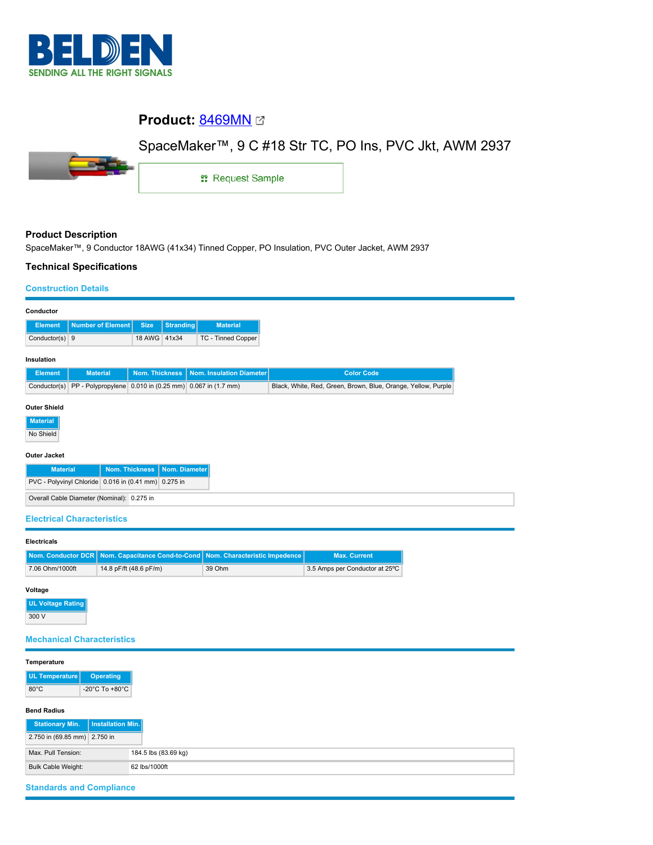

# **Product:** [8469MN](https://catalog.belden.com/index.cfm?event=pd&p=PF_8469MN&tab=downloads)

# SpaceMaker™, 9 C #18 Str TC, PO Ins, PVC Jkt, AWM 2937



1: Request Sample

## **Product Description**

SpaceMaker™, 9 Conductor 18AWG (41x34) Tinned Copper, PO Insulation, PVC Outer Jacket, AWM 2937

#### **Technical Specifications**

#### **Construction Details**

| Conductor                                                 |                                                         |                       |                  |                          |                                                               |  |  |  |  |
|-----------------------------------------------------------|---------------------------------------------------------|-----------------------|------------------|--------------------------|---------------------------------------------------------------|--|--|--|--|
| <b>Element</b>                                            | <b>Number of Element</b>                                | <b>Size</b>           | <b>Stranding</b> | <b>Material</b>          |                                                               |  |  |  |  |
| Conductor(s) 9                                            |                                                         | 18 AWG 41x34          |                  | TC - Tinned Copper       |                                                               |  |  |  |  |
| Insulation                                                |                                                         |                       |                  |                          |                                                               |  |  |  |  |
| <b>Element</b>                                            | <b>Material</b>                                         | <b>Nom. Thickness</b> |                  | Nom. Insulation Diameter | <b>Color Code</b>                                             |  |  |  |  |
| Conductor(s)                                              | PP - Polypropylene 0.010 in (0.25 mm) 0.067 in (1.7 mm) |                       |                  |                          | Black, White, Red, Green, Brown, Blue, Orange, Yellow, Purple |  |  |  |  |
| <b>Outer Shield</b><br><b>Material</b><br>No Shield       |                                                         |                       |                  |                          |                                                               |  |  |  |  |
| <b>Outer Jacket</b>                                       |                                                         |                       |                  |                          |                                                               |  |  |  |  |
| <b>Nom. Thickness</b><br>Nom. Diameter<br><b>Material</b> |                                                         |                       |                  |                          |                                                               |  |  |  |  |
| PVC - Polyvinyl Chloride 0.016 in (0.41 mm) 0.275 in      |                                                         |                       |                  |                          |                                                               |  |  |  |  |
| Overall Cable Diameter (Nominal): 0.275 in                |                                                         |                       |                  |                          |                                                               |  |  |  |  |

#### **Electrical Characteristics**

### **Electricals**

|                 | Nom. Conductor DCR   Nom. Capacitance Cond-to-Cond   Nom. Characteristic Impedence |        | <b>Max. Current</b>            |
|-----------------|------------------------------------------------------------------------------------|--------|--------------------------------|
| 7.06 Ohm/1000ft | 14.8 pF/ft (48.6 pF/m)                                                             | 39 Ohm | 3.5 Amps per Conductor at 25°C |

## **Voltage**

**UL Voltage Rating** 300 V

## **Mechanical Characteristics**

| Temperature                  |                   |                      |
|------------------------------|-------------------|----------------------|
| UL Temperature               | <b>Operating</b>  |                      |
| $80^{\circ}$ C               | -20°C To +80°C    |                      |
| <b>Bend Radius</b>           |                   |                      |
| <b>Stationary Min.</b>       | Installation Min. |                      |
| 2.750 in (69.85 mm) 2.750 in |                   |                      |
| Max. Pull Tension:           |                   | 184.5 lbs (83.69 kg) |
|                              |                   |                      |
|                              |                   |                      |

# **Standards and Compliance**